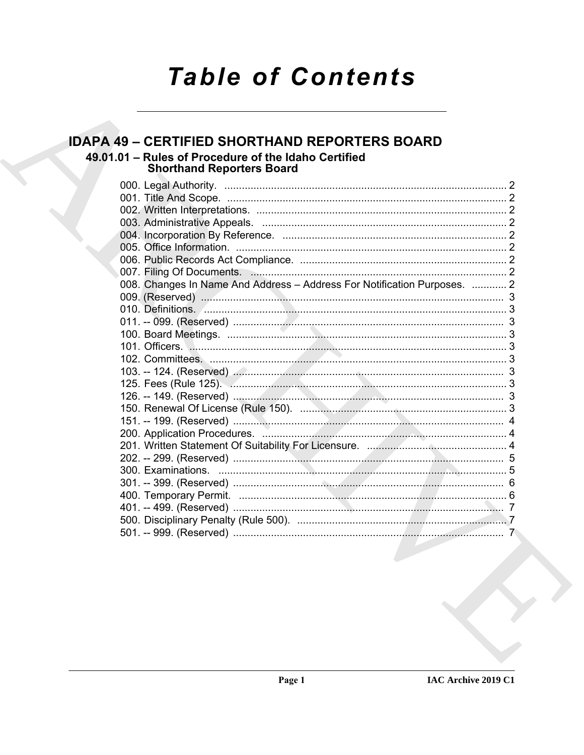# **Table of Contents**

#### **IDAPA 49 - CERTIFIED SHORTHAND REPORTERS BOARD** 49.01.01 - Rules of Procedure of the Idaho Certified **Shorthand Reporters Board** 008. Changes In Name And Address - Address For Notification Purposes. ............ 2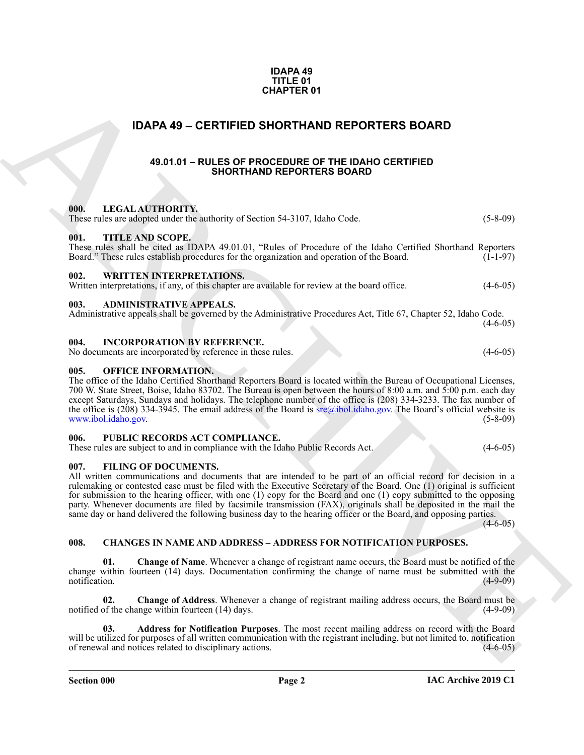| <b>IDAPA 49</b> |
|-----------------|
| TITLE 01        |
| CHAPTER 01      |

### <span id="page-1-0"></span>**IDAPA 49 – CERTIFIED SHORTHAND REPORTERS BOARD**

#### **49.01.01 – RULES OF PROCEDURE OF THE IDAHO CERTIFIED SHORTHAND REPORTERS BOARD**

#### <span id="page-1-19"></span><span id="page-1-18"></span><span id="page-1-15"></span><span id="page-1-4"></span><span id="page-1-3"></span><span id="page-1-2"></span><span id="page-1-1"></span>**000. LEGAL AUTHORITY.**

**CHAPTER 01**<br> **CHAPTER D SHORTHAND REPORTERS BOARD**<br> **CHAPTER D** SHORTHAND REPORTERS BOARD<br> **CHAPTER DESCRIPTION CONTROL**<br> **CHAPTER DESCRIPTION CONTROL**<br> **CHAPTER DESCRIPTION CONTROL**<br> **CHAPTER DESCRIPTION CONTROLL CONTRO** These rules are adopted under the authority of Section 54-3107, Idaho Code. (5-8-09) **001. TITLE AND SCOPE.** These rules shall be cited as IDAPA 49.01.01, "Rules of Procedure of the Idaho Certified Shorthand Reporters Board." These rules establish procedures for the organization and operation of the Board.  $(1-1-97)$ **002. WRITTEN INTERPRETATIONS.** Written interpretations, if any, of this chapter are available for review at the board office.  $(4-6-05)$ **003. ADMINISTRATIVE APPEALS.** Administrative appeals shall be governed by the Administrative Procedures Act, Title 67, Chapter 52, Idaho Code.  $(4-6-05)$ **004. INCORPORATION BY REFERENCE.** No documents are incorporated by reference in these rules. (4-6-05) **005. OFFICE INFORMATION.** The office of the Idaho Certified Shorthand Reporters Board is located within the Bureau of Occupational Licenses,

<span id="page-1-16"></span><span id="page-1-14"></span><span id="page-1-11"></span><span id="page-1-7"></span><span id="page-1-6"></span><span id="page-1-5"></span>700 W. State Street, Boise, Idaho 83702. The Bureau is open between the hours of 8:00 a.m. and 5:00 p.m. each day except Saturdays, Sundays and holidays. The telephone number of the office is (208) 334-3233. The fax number of the office is (208) 334-3945. The email address of the Board is  $\text{src@ibol.idaho.gov}$ . The Board's official website is www.ibol.idaho.gov. (5-8-09)

#### <span id="page-1-17"></span><span id="page-1-8"></span>**006. PUBLIC RECORDS ACT COMPLIANCE.**

These rules are subject to and in compliance with the Idaho Public Records Act. (4-6-05)

#### <span id="page-1-13"></span><span id="page-1-9"></span>**007. FILING OF DOCUMENTS.**

All written communications and documents that are intended to be part of an official record for decision in a rulemaking or contested case must be filed with the Executive Secretary of the Board. One (1) original is sufficient for submission to the hearing officer, with one (1) copy for the Board and one (1) copy submitted to the opposing party. Whenever documents are filed by facsimile transmission (FAX), originals shall be deposited in the mail the same day or hand delivered the following business day to the hearing officer or the Board, and opposing parties.

 $(4-6-05)$ 

#### <span id="page-1-12"></span><span id="page-1-10"></span>**008. CHANGES IN NAME AND ADDRESS – ADDRESS FOR NOTIFICATION PURPOSES.**

**01. Change of Name**. Whenever a change of registrant name occurs, the Board must be notified of the change within fourteen (14) days. Documentation confirming the change of name must be submitted with the notification. (4-9-09) notification. (4-9-09)

**02. Change of Address**. Whenever a change of registrant mailing address occurs, the Board must be notified of the change within fourteen (14) days. (4-9-09)

**03. Address for Notification Purposes**. The most recent mailing address on record with the Board will be utilized for purposes of all written communication with the registrant including, but not limited to, notification of renewal and notices related to disciplinary actions. (4-6-05)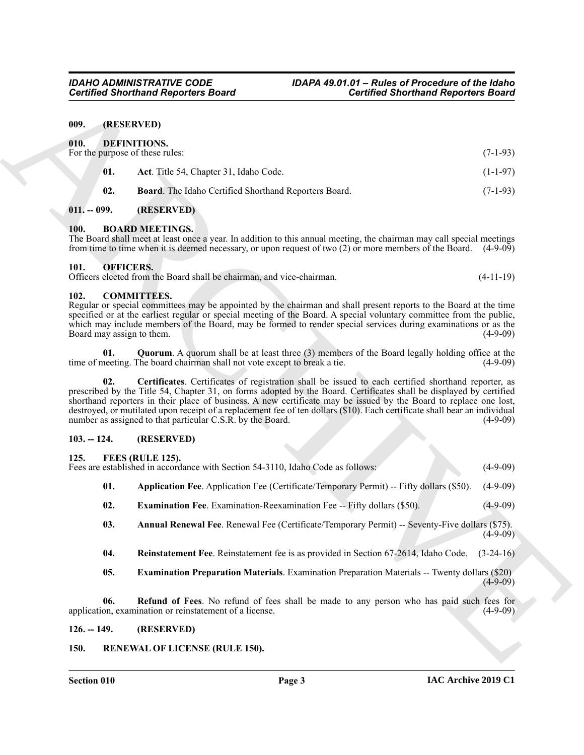#### <span id="page-2-0"></span>**009. (RESERVED)**

<span id="page-2-15"></span><span id="page-2-14"></span><span id="page-2-1"></span>

| 010. |     | DEFINITIONS.<br>For the purpose of these rules:              | $(7-1-93)$ |
|------|-----|--------------------------------------------------------------|------------|
|      | 01. | Act. Title 54, Chapter 31, Idaho Code.                       | $(1-1-97)$ |
|      | 02. | <b>Board.</b> The Idaho Certified Shorthand Reporters Board. | $(7-1-93)$ |

#### <span id="page-2-16"></span><span id="page-2-2"></span>**011. -- 099. (RESERVED)**

#### <span id="page-2-10"></span><span id="page-2-3"></span>**100. BOARD MEETINGS.**

#### <span id="page-2-24"></span><span id="page-2-4"></span>**101. OFFICERS.**

#### <span id="page-2-13"></span><span id="page-2-11"></span><span id="page-2-5"></span>**102. COMMITTEES.**

#### <span id="page-2-12"></span><span id="page-2-6"></span>**103. -- 124. (RESERVED)**

#### <span id="page-2-19"></span><span id="page-2-17"></span><span id="page-2-7"></span>**125. FEES (RULE 125).**

|                                         | <b>Certified Shorthand Reporters Board</b>                                                                                                                                                                                                                                                                                                                                                                                                                                                                                                  | <b>Certified Shorthand Reporters Board</b> |             |
|-----------------------------------------|---------------------------------------------------------------------------------------------------------------------------------------------------------------------------------------------------------------------------------------------------------------------------------------------------------------------------------------------------------------------------------------------------------------------------------------------------------------------------------------------------------------------------------------------|--------------------------------------------|-------------|
| 009.                                    | (RESERVED)                                                                                                                                                                                                                                                                                                                                                                                                                                                                                                                                  |                                            |             |
| 010.<br>For the purpose of these rules: | DEFINITIONS.                                                                                                                                                                                                                                                                                                                                                                                                                                                                                                                                |                                            | $(7-1-93)$  |
| 01.                                     | Act. Title 54, Chapter 31, Idaho Code.                                                                                                                                                                                                                                                                                                                                                                                                                                                                                                      |                                            | $(1-1-97)$  |
| 02.                                     | Board. The Idaho Certified Shorthand Reporters Board.                                                                                                                                                                                                                                                                                                                                                                                                                                                                                       |                                            | $(7-1-93)$  |
| $011. - 099.$                           | (RESERVED)                                                                                                                                                                                                                                                                                                                                                                                                                                                                                                                                  |                                            |             |
| 100.                                    | <b>BOARD MEETINGS.</b><br>The Board shall meet at least once a year. In addition to this annual meeting, the chairman may call special meetings<br>from time to time when it is deemed necessary, or upon request of two $(2)$ or more members of the Board. $(4-9-09)$                                                                                                                                                                                                                                                                     |                                            |             |
| 101.                                    | <b>OFFICERS.</b><br>Officers elected from the Board shall be chairman, and vice-chairman.                                                                                                                                                                                                                                                                                                                                                                                                                                                   |                                            | $(4-11-19)$ |
| 102.<br>Board may assign to them.       | <b>COMMITTEES.</b><br>Regular or special committees may be appointed by the chairman and shall present reports to the Board at the time<br>specified or at the earliest regular or special meeting of the Board. A special voluntary committee from the public,<br>which may include members of the Board, may be formed to render special services during examinations or as the                                                                                                                                                           |                                            | $(4-9-09)$  |
| 01.                                     | <b>Quorum.</b> A quorum shall be at least three (3) members of the Board legally holding office at the<br>time of meeting. The board chairman shall not vote except to break a tie.                                                                                                                                                                                                                                                                                                                                                         |                                            | $(4-9-09)$  |
| 02.                                     | Certificates. Certificates of registration shall be issued to each certified shorthand reporter, as<br>prescribed by the Title 54, Chapter 31, on forms adopted by the Board. Certificates shall be displayed by certified<br>shorthand reporters in their place of business. A new certificate may be issued by the Board to replace one lost,<br>destroyed, or mutilated upon receipt of a replacement fee of ten dollars (\$10). Each certificate shall bear an individual<br>number as assigned to that particular C.S.R. by the Board. |                                            | $(4-9-09)$  |
| $103. - 124.$                           | (RESERVED)                                                                                                                                                                                                                                                                                                                                                                                                                                                                                                                                  |                                            |             |
| 125.                                    | FEES (RULE 125).<br>Fees are established in accordance with Section 54-3110, Idaho Code as follows:                                                                                                                                                                                                                                                                                                                                                                                                                                         |                                            | $(4-9-09)$  |
| 01.                                     | Application Fee. Application Fee (Certificate/Temporary Permit) -- Fifty dollars (\$50).                                                                                                                                                                                                                                                                                                                                                                                                                                                    |                                            | $(4-9-09)$  |
| 02.                                     | <b>Examination Fee.</b> Examination-Reexamination Fee -- Fifty dollars (\$50).                                                                                                                                                                                                                                                                                                                                                                                                                                                              |                                            | $(4-9-09)$  |
| 03.                                     | Annual Renewal Fee. Renewal Fee (Certificate/Temporary Permit) -- Seventy-Five dollars (\$75).                                                                                                                                                                                                                                                                                                                                                                                                                                              |                                            | $(4-9-09)$  |
| 04.                                     | Reinstatement Fee. Reinstatement fee is as provided in Section 67-2614, Idaho Code.                                                                                                                                                                                                                                                                                                                                                                                                                                                         |                                            | $(3-24-16)$ |
| 05.                                     | <b>Examination Preparation Materials.</b> Examination Preparation Materials -- Twenty dollars (\$20)                                                                                                                                                                                                                                                                                                                                                                                                                                        |                                            | $(4-9-09)$  |
| 06.                                     | Refund of Fees. No refund of fees shall be made to any person who has paid such fees for<br>application, examination or reinstatement of a license.                                                                                                                                                                                                                                                                                                                                                                                         |                                            | $(4-9-09)$  |
| $126. - 149.$                           | (RESERVED)                                                                                                                                                                                                                                                                                                                                                                                                                                                                                                                                  |                                            |             |
| 150.                                    | <b>RENEWAL OF LICENSE (RULE 150).</b>                                                                                                                                                                                                                                                                                                                                                                                                                                                                                                       |                                            |             |

- <span id="page-2-23"></span><span id="page-2-20"></span><span id="page-2-18"></span>**04. Reinstatement Fee**. Reinstatement fee is as provided in Section 67-2614, Idaho Code. (3-24-16)
- <span id="page-2-25"></span><span id="page-2-22"></span><span id="page-2-21"></span><span id="page-2-9"></span><span id="page-2-8"></span>**05. Examination Preparation Materials**. Examination Preparation Materials -- Twenty dollars (\$20)  $(4-9-09)$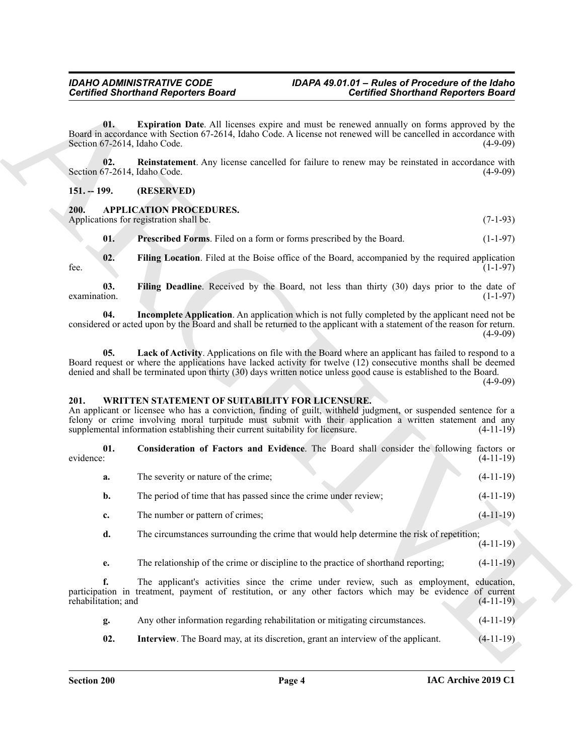### <span id="page-3-9"></span>*Certified Shorthand Reporters Board Certified Shorthand Reporters Board*

#### <span id="page-3-10"></span><span id="page-3-0"></span>**151. -- 199. (RESERVED)**

#### <span id="page-3-8"></span><span id="page-3-5"></span><span id="page-3-4"></span><span id="page-3-3"></span><span id="page-3-1"></span>**200. APPLICATION PROCEDURES.**

#### <span id="page-3-12"></span><span id="page-3-11"></span><span id="page-3-7"></span><span id="page-3-6"></span><span id="page-3-2"></span>**201. WRITTEN STATEMENT OF SUITABILITY FOR LICENSURE.**

|                                     | <b>Certified Shorthand Reporters Board</b>                                                                                                                                                                                                                                                                                                                       | <b>Certified Shorthand Reporters Board</b>                                                                                                                                                                                                                                                                                                   |                                                                                                                                   |
|-------------------------------------|------------------------------------------------------------------------------------------------------------------------------------------------------------------------------------------------------------------------------------------------------------------------------------------------------------------------------------------------------------------|----------------------------------------------------------------------------------------------------------------------------------------------------------------------------------------------------------------------------------------------------------------------------------------------------------------------------------------------|-----------------------------------------------------------------------------------------------------------------------------------|
| 01.<br>Section 67-2614, Idaho Code. | <b>Expiration Date.</b> All licenses expire and must be renewed annually on forms approved by the<br>Board in accordance with Section 67-2614, Idaho Code. A license not renewed will be cancelled in accordance with                                                                                                                                            |                                                                                                                                                                                                                                                                                                                                              | $(4-9-09)$                                                                                                                        |
| 02.<br>Section 67-2614, Idaho Code. | <b>Reinstatement</b> . Any license cancelled for failure to renew may be reinstated in accordance with                                                                                                                                                                                                                                                           |                                                                                                                                                                                                                                                                                                                                              | $(4-9-09)$                                                                                                                        |
| $151. - 199.$                       | (RESERVED)                                                                                                                                                                                                                                                                                                                                                       |                                                                                                                                                                                                                                                                                                                                              |                                                                                                                                   |
| 200.                                | <b>APPLICATION PROCEDURES.</b><br>Applications for registration shall be.                                                                                                                                                                                                                                                                                        |                                                                                                                                                                                                                                                                                                                                              | $(7-1-93)$                                                                                                                        |
| 01.                                 | Prescribed Forms. Filed on a form or forms prescribed by the Board.                                                                                                                                                                                                                                                                                              |                                                                                                                                                                                                                                                                                                                                              | $(1-1-97)$                                                                                                                        |
| 02.<br>fee.                         | Filing Location. Filed at the Boise office of the Board, accompanied by the required application                                                                                                                                                                                                                                                                 |                                                                                                                                                                                                                                                                                                                                              | $(1-1-97)$                                                                                                                        |
| 03.<br>examination.                 | Filing Deadline. Received by the Board, not less than thirty (30) days prior to the date of                                                                                                                                                                                                                                                                      |                                                                                                                                                                                                                                                                                                                                              | $(1-1-97)$                                                                                                                        |
| 04.                                 | Incomplete Application. An application which is not fully completed by the applicant need not be<br>considered or acted upon by the Board and shall be returned to the applicant with a statement of the reason for return.                                                                                                                                      |                                                                                                                                                                                                                                                                                                                                              | $(4-9-09)$                                                                                                                        |
| 05.                                 |                                                                                                                                                                                                                                                                                                                                                                  | Lack of Activity. Applications on file with the Board where an applicant has failed to respond to a<br>Board request or where the applications have lacked activity for twelve (12) consecutive months shall be deemed<br>denied and shall be terminated upon thirty (30) days written notice unless good cause is established to the Board. |                                                                                                                                   |
|                                     |                                                                                                                                                                                                                                                                                                                                                                  |                                                                                                                                                                                                                                                                                                                                              |                                                                                                                                   |
| 201.                                | WRITTEN STATEMENT OF SUITABILITY FOR LICENSURE.<br>An applicant or licensee who has a conviction, finding of guilt, withheld judgment, or suspended sentence for a<br>felony or crime involving moral turpitude must submit with their application a written statement and any<br>supplemental information establishing their current suitability for licensure. |                                                                                                                                                                                                                                                                                                                                              |                                                                                                                                   |
| 01.<br>evidence:                    | Consideration of Factors and Evidence. The Board shall consider the following factors or                                                                                                                                                                                                                                                                         |                                                                                                                                                                                                                                                                                                                                              |                                                                                                                                   |
| a.                                  | The severity or nature of the crime;                                                                                                                                                                                                                                                                                                                             |                                                                                                                                                                                                                                                                                                                                              |                                                                                                                                   |
| b.                                  | The period of time that has passed since the crime under review;                                                                                                                                                                                                                                                                                                 |                                                                                                                                                                                                                                                                                                                                              |                                                                                                                                   |
| c.                                  | The number or pattern of crimes;                                                                                                                                                                                                                                                                                                                                 |                                                                                                                                                                                                                                                                                                                                              | $(4-11-19)$<br>$(4-11-19)$                                                                                                        |
| d.                                  | The circumstances surrounding the crime that would help determine the risk of repetition;                                                                                                                                                                                                                                                                        |                                                                                                                                                                                                                                                                                                                                              |                                                                                                                                   |
| e.                                  | The relationship of the crime or discipline to the practice of shorthand reporting;                                                                                                                                                                                                                                                                              |                                                                                                                                                                                                                                                                                                                                              |                                                                                                                                   |
| f.<br>rehabilitation; and           | The applicant's activities since the crime under review, such as employment,<br>participation in treatment, payment of restitution, or any other factors which may be evidence of current                                                                                                                                                                        |                                                                                                                                                                                                                                                                                                                                              |                                                                                                                                   |
| g.                                  | Any other information regarding rehabilitation or mitigating circumstances.                                                                                                                                                                                                                                                                                      |                                                                                                                                                                                                                                                                                                                                              | $(4-9-09)$<br>$(4-11-19)$<br>$(4-11-19)$<br>$(4-11-19)$<br>$(4-11-19)$<br>$(4-11-19)$<br>education,<br>$(4-11-19)$<br>$(4-11-19)$ |

- **g.** Any other information regarding rehabilitation or mitigating circumstances. (4-11-19)
- <span id="page-3-13"></span>**02. Interview**. The Board may, at its discretion, grant an interview of the applicant. (4-11-19)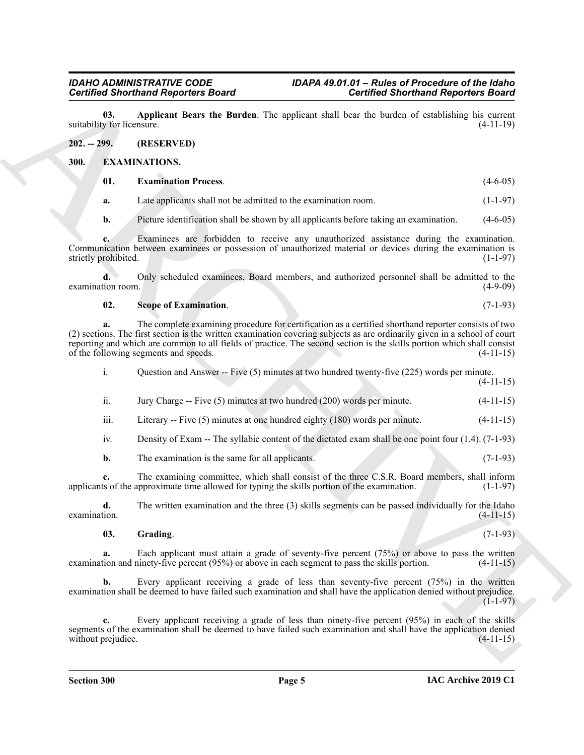<span id="page-4-6"></span>**03.** Applicant Bears the Burden. The applicant shall bear the burden of establishing his current v for licensure. (4-11-19) suitability for licensure.

<span id="page-4-0"></span>**202. -- 299. (RESERVED)**

#### <span id="page-4-1"></span>**300. EXAMINATIONS.**

<span id="page-4-3"></span><span id="page-4-2"></span>

| 01. | <b>Examination Process.</b> | $(4-6-05)$ |  |
|-----|-----------------------------|------------|--|
|     |                             |            |  |

**a.** Late applicants shall not be admitted to the examination room. (1-1-97)

**b.** Picture identification shall be shown by all applicants before taking an examination. (4-6-05)

**c.** Examinees are forbidden to receive any unauthorized assistance during the examination. Communication between examinees or possession of unauthorized material or devices during the examination is strictly prohibited. (1-1-97) strictly prohibited.

**d.** Only scheduled examinees, Board members, and authorized personnel shall be admitted to the examination room. (4-9-09)

#### <span id="page-4-5"></span>**02.** Scope of Examination. (7-1-93)

**Contribute 3 for the control of the system of the control of the system of the system of the system of the system of the system of the system of the system of the system of the system of the system of the system of the s a.** The complete examining procedure for certification as a certified shorthand reporter consists of two (2) sections. The first section is the written examination covering subjects as are ordinarily given in a school of court reporting and which are common to all fields of practice. The second section is the skills portion which shall consist of the following segments and speeds. (4-11-15) of the following segments and speeds.

i. Question and Answer -- Five (5) minutes at two hundred twenty-five (225) words per minute. (4-11-15)

ii. Jury Charge -- Five  $(5)$  minutes at two hundred  $(200)$  words per minute.  $(4-11-15)$ 

iii. Literary -- Five (5) minutes at one hundred eighty (180) words per minute. (4-11-15)

iv. Density of Exam -- The syllabic content of the dictated exam shall be one point four (1.4). (7-1-93)

**b.** The examination is the same for all applicants. (7-1-93)

**c.** The examining committee, which shall consist of the three C.S.R. Board members, shall inform ts of the approximate time allowed for typing the skills portion of the examination. (1-1-97) applicants of the approximate time allowed for typing the skills portion of the examination.

**d.** The written examination and the three (3) skills segments can be passed individually for the Idaho examination.  $(4-11-15)$ 

<span id="page-4-4"></span>**03. Grading**. (7-1-93)

**a.** Each applicant must attain a grade of seventy-five percent (75%) or above to pass the written examination and ninety-five percent (95%) or above in each segment to pass the skills portion. (4-11-15)

**b.** Every applicant receiving a grade of less than seventy-five percent (75%) in the written examination shall be deemed to have failed such examination and shall have the application denied without prejudice.  $(1-1-97)$ 

**c.** Every applicant receiving a grade of less than ninety-five percent (95%) in each of the skills segments of the examination shall be deemed to have failed such examination and shall have the application denied without prejudice. (4-11-15) without prejudice.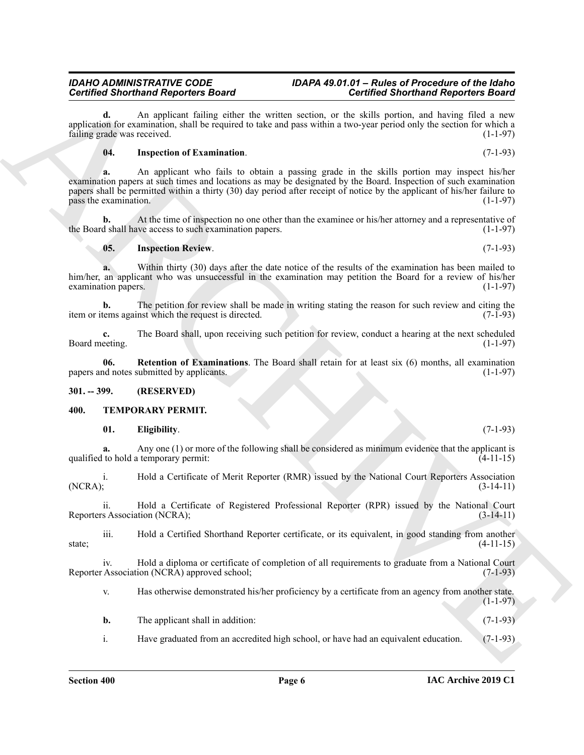#### *IDAHO ADMINISTRATIVE CODE IDAPA 49.01.01 – Rules of Procedure of the Idaho Certified Shorthand Reporters Board Certified Shorthand Reporters Board*

**d.** An applicant failing either the written section, or the skills portion, and having filed a new application for examination, shall be required to take and pass within a two-year period only the section for which a failing grade was received. (1-1-97)

#### <span id="page-5-2"></span>**04. Inspection of Examination**. (7-1-93)

**Contribute Shorehold Reported Board and Lie anti-anti-action Contribute Contribute Contribute Contribute Contribute Contribute Contribute Contribute Contribute Contribute Contribute Contribute Contribute Contribute Contr a.** An applicant who fails to obtain a passing grade in the skills portion may inspect his/her examination papers at such times and locations as may be designated by the Board. Inspection of such examination papers shall be permitted within a thirty (30) day period after receipt of notice by the applicant of his/her failure to  $p$ ass the examination. (1-1-97)

**b.** At the time of inspection no one other than the examinee or his/her attorney and a representative of d shall have access to such examination papers. (1-1-97) the Board shall have access to such examination papers.

#### <span id="page-5-3"></span>**05. Inspection Review**. (7-1-93)

**a.** Within thirty (30) days after the date notice of the results of the examination has been mailed to him/her, an applicant who was unsuccessful in the examination may petition the Board for a review of his/her examination papers.  $(1-1-97)$ 

**b.** The petition for review shall be made in writing stating the reason for such review and citing the reasons against which the request is directed. (7-1-93) item or items against which the request is directed.

**c.** The Board shall, upon receiving such petition for review, conduct a hearing at the next scheduled Board meeting. (1-1-97)

<span id="page-5-4"></span>**06. Retention of Examinations**. The Board shall retain for at least six (6) months, all examination papers and notes submitted by applicants. (1-1-97)

#### <span id="page-5-0"></span>**301. -- 399. (RESERVED)**

#### <span id="page-5-1"></span>**400. TEMPORARY PERMIT.**

<span id="page-5-6"></span><span id="page-5-5"></span>**01. Eligibility**. (7-1-93)

**a.** Any one (1) or more of the following shall be considered as minimum evidence that the applicant is qualified to hold a temporary permit: (4-11-15)

i. Hold a Certificate of Merit Reporter (RMR) issued by the National Court Reporters Association (NCRA);<br>(3-14-11) (NCRA); (3-14-11)

ii. Hold a Certificate of Registered Professional Reporter (RPR) issued by the National Court Reporters Association (NCRA); (3-14-11)

iii. Hold a Certified Shorthand Reporter certificate, or its equivalent, in good standing from another state;  $(4-11-15)$ 

iv. Hold a diploma or certificate of completion of all requirements to graduate from a National Court Reporter Association (NCRA) approved school; (7-1-93)

v. Has otherwise demonstrated his/her proficiency by a certificate from an agency from another state.  $(1 - 1 - 97)$ 

- **b.** The applicant shall in addition: (7-1-93)
- i. Have graduated from an accredited high school, or have had an equivalent education. (7-1-93)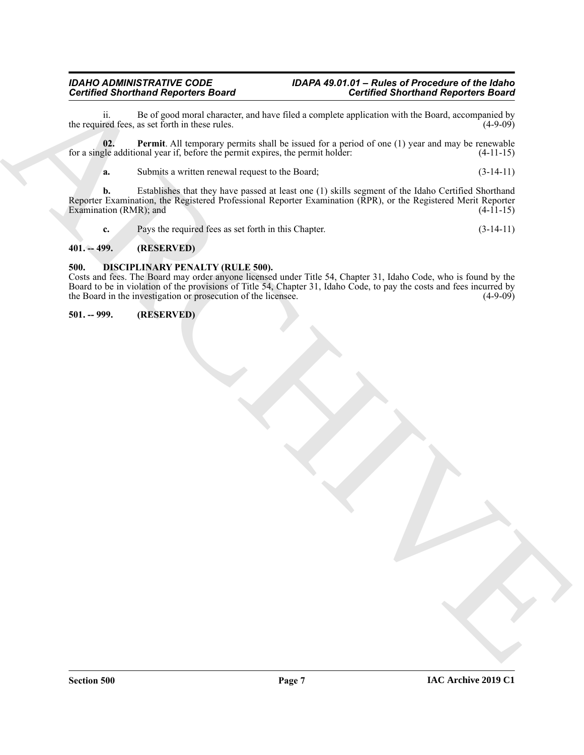### *Certified Shorthand Reporters Board Certified Shorthand Reporters Board*

ii. Be of good moral character, and have filed a complete application with the Board, accompanied by the required fees, as set forth in these rules.

**02. Permit**. All temporary permits shall be issued for a period of one (1) year and may be renewable for a single additional year if, before the permit expires, the permit holder: (4-11-15)

<span id="page-6-4"></span>**a.** Submits a written renewal request to the Board;  $(3-14-11)$ 

Contributed Shorthand Regarders Baratte and the situation of the stationary interaction of the theory experimental and the station of the station of the station of the stationary parameteristic station is expected and the **b.** Establishes that they have passed at least one (1) skills segment of the Idaho Certified Shorthand Reporter Examination, the Registered Professional Reporter Examination (RPR), or the Registered Merit Reporter Examination (RMR); and

<span id="page-6-3"></span>**c.** Pays the required fees as set forth in this Chapter. (3-14-11)

#### <span id="page-6-0"></span>**401. -- 499. (RESERVED)**

#### <span id="page-6-1"></span>**500. DISCIPLINARY PENALTY (RULE 500).**

Costs and fees. The Board may order anyone licensed under Title 54, Chapter 31, Idaho Code, who is found by the Board to be in violation of the provisions of Title 54, Chapter 31, Idaho Code, to pay the costs and fees incurred by the Board in the investigation or prosecution of the licensee. (4-9-09)

<span id="page-6-2"></span>**501. -- 999. (RESERVED)**